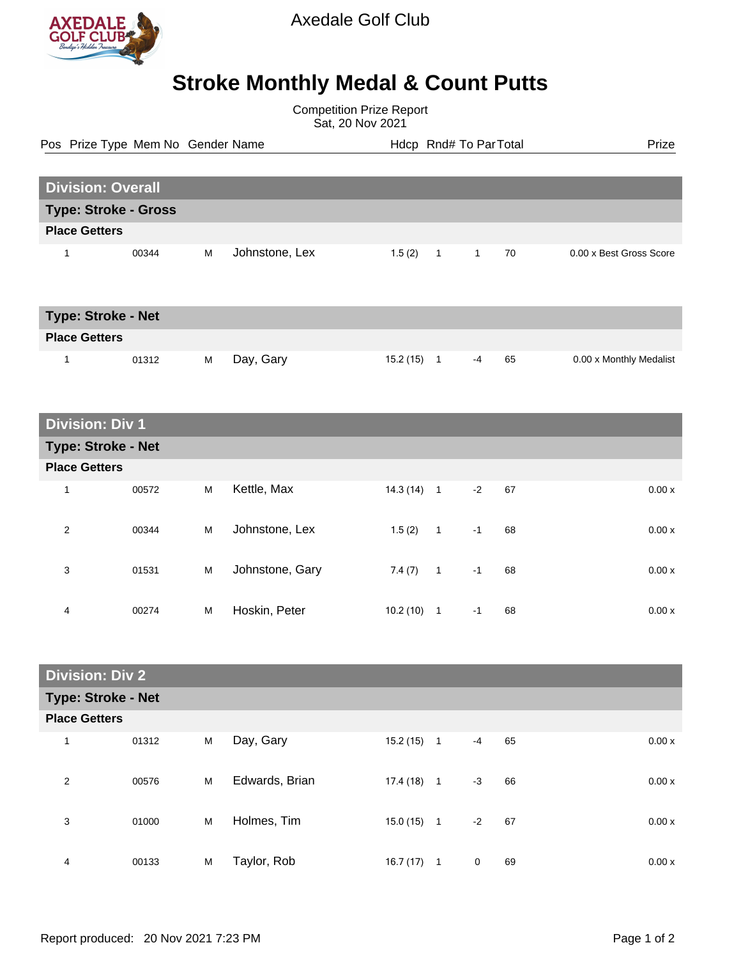

Axedale Golf Club

## **Stroke Monthly Medal & Count Putts**

Competition Prize Report Sat, 20 Nov 2021

Pos Prize Type Mem No Gender Name **Health Hotel Rnd# To ParTotal** Prize

| <b>Division: Overall</b>    |       |   |                |        |                |  |    |                         |
|-----------------------------|-------|---|----------------|--------|----------------|--|----|-------------------------|
| <b>Type: Stroke - Gross</b> |       |   |                |        |                |  |    |                         |
| <b>Place Getters</b>        |       |   |                |        |                |  |    |                         |
|                             | 00344 | м | Johnstone, Lex | 1.5(2) | $\overline{1}$ |  | 70 | 0.00 x Best Gross Score |

| <b>Type: Stroke - Net</b> |       |   |           |          |  |    |    |                         |
|---------------------------|-------|---|-----------|----------|--|----|----|-------------------------|
| <b>Place Getters</b>      |       |   |           |          |  |    |    |                         |
|                           | 01312 | м | Day, Gary | 15.2(15) |  | -4 | 65 | 0.00 x Monthly Medalist |

## **Division: Div 1**

| <b>Type: Stroke - Net</b> |       |   |                 |          |              |      |    |       |
|---------------------------|-------|---|-----------------|----------|--------------|------|----|-------|
| <b>Place Getters</b>      |       |   |                 |          |              |      |    |       |
| 4                         | 00572 | M | Kettle, Max     | 14.3(14) | $\mathbf{1}$ | $-2$ | 67 | 0.00x |
| 2                         | 00344 | M | Johnstone, Lex  | 1.5(2)   | $\mathbf{1}$ | $-1$ | 68 | 0.00x |
| 3                         | 01531 | M | Johnstone, Gary | 7.4(7)   | $\mathbf{1}$ | $-1$ | 68 | 0.00x |
| 4                         | 00274 | M | Hoskin, Peter   | 10.2(10) | 1            | $-1$ | 68 | 0.00x |

| <b>Division: Div 2</b> |                           |   |                |          |                |      |    |       |
|------------------------|---------------------------|---|----------------|----------|----------------|------|----|-------|
|                        | <b>Type: Stroke - Net</b> |   |                |          |                |      |    |       |
| <b>Place Getters</b>   |                           |   |                |          |                |      |    |       |
| 1                      | 01312                     | M | Day, Gary      | 15.2(15) | $\mathbf{1}$   | $-4$ | 65 | 0.00x |
| 2                      | 00576                     | M | Edwards, Brian | 17.4(18) | $\mathbf{1}$   | $-3$ | 66 | 0.00x |
| 3                      | 01000                     | M | Holmes, Tim    | 15.0(15) | $\overline{1}$ | $-2$ | 67 | 0.00x |
| 4                      | 00133                     | M | Taylor, Rob    | 16.7(17) | $\mathbf{1}$   | 0    | 69 | 0.00x |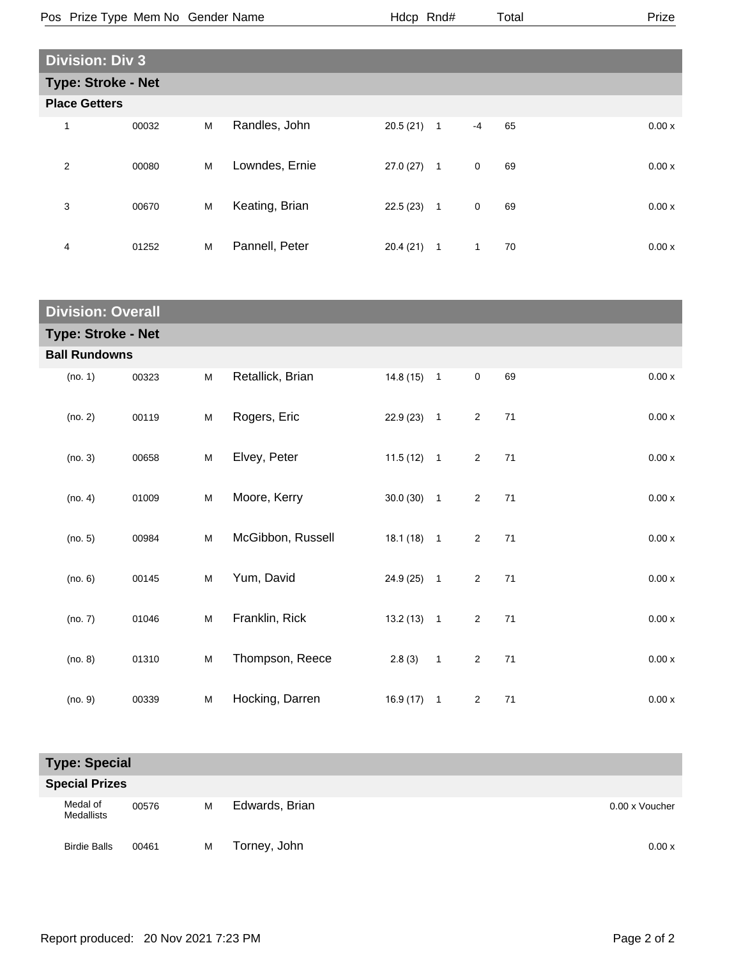|                | Pos Prize Type Mem No Gender Name |       |   |                | Hdcp Rnd#    |                |             | Total | Prize |
|----------------|-----------------------------------|-------|---|----------------|--------------|----------------|-------------|-------|-------|
|                |                                   |       |   |                |              |                |             |       |       |
|                | <b>Division: Div 3</b>            |       |   |                |              |                |             |       |       |
|                | <b>Type: Stroke - Net</b>         |       |   |                |              |                |             |       |       |
|                | <b>Place Getters</b>              |       |   |                |              |                |             |       |       |
| 1              |                                   | 00032 | M | Randles, John  | 20.5(21)     | $\overline{1}$ | $-4$        | 65    | 0.00x |
| $\overline{2}$ |                                   | 00080 | M | Lowndes, Ernie | $27.0(27)$ 1 |                | $\mathbf 0$ | 69    | 0.00x |
| 3              |                                   | 00670 | M | Keating, Brian | 22.5(23)     | $\overline{1}$ | $\mathbf 0$ | 69    | 0.00x |
| 4              |                                   | 01252 | M | Pannell, Peter | 20.4(21)     | $\mathbf{1}$   | 1.          | 70    | 0.00x |

|                      | <b>Division: Overall</b>  |   |                   |              |  |                |      |                    |
|----------------------|---------------------------|---|-------------------|--------------|--|----------------|------|--------------------|
|                      | <b>Type: Stroke - Net</b> |   |                   |              |  |                |      |                    |
| <b>Ball Rundowns</b> |                           |   |                   |              |  |                |      |                    |
| (no. 1)              | 00323                     | M | Retallick, Brian  | $14.8(15)$ 1 |  | $\mathbf 0$    | 69   | $0.00\,\mathrm{x}$ |
| (no. 2)              | 00119                     | M | Rogers, Eric      | $22.9(23)$ 1 |  | $\overline{2}$ | 71   | 0.00x              |
| (no. 3)              | 00658                     | M | Elvey, Peter      | $11.5(12)$ 1 |  | $\overline{2}$ | 71   | 0.00x              |
| (no. 4)              | 01009                     | M | Moore, Kerry      | $30.0(30)$ 1 |  | $\overline{2}$ | 71   | 0.00x              |
| (no. 5)              | 00984                     | M | McGibbon, Russell | $18.1(18)$ 1 |  | 2              | 71   | 0.00x              |
| (no. 6)              | 00145                     | M | Yum, David        | $24.9(25)$ 1 |  | $\overline{2}$ | 71   | 0.00x              |
| (no. 7)              | 01046                     | M | Franklin, Rick    | $13.2(13)$ 1 |  | $\overline{2}$ | 71   | 0.00x              |
| (no. 8)              | 01310                     | M | Thompson, Reece   | $2.8(3)$ 1   |  | $\overline{2}$ | $71$ | 0.00x              |
| (no. 9)              | 00339                     | M | Hocking, Darren   | $16.9(17)$ 1 |  | $\overline{2}$ | 71   | 0.00x              |

| <b>Type: Special</b>   |       |   |                |                |  |  |
|------------------------|-------|---|----------------|----------------|--|--|
| <b>Special Prizes</b>  |       |   |                |                |  |  |
| Medal of<br>Medallists | 00576 | M | Edwards, Brian | 0.00 x Voucher |  |  |
| <b>Birdie Balls</b>    | 00461 | M | Torney, John   | 0.00x          |  |  |